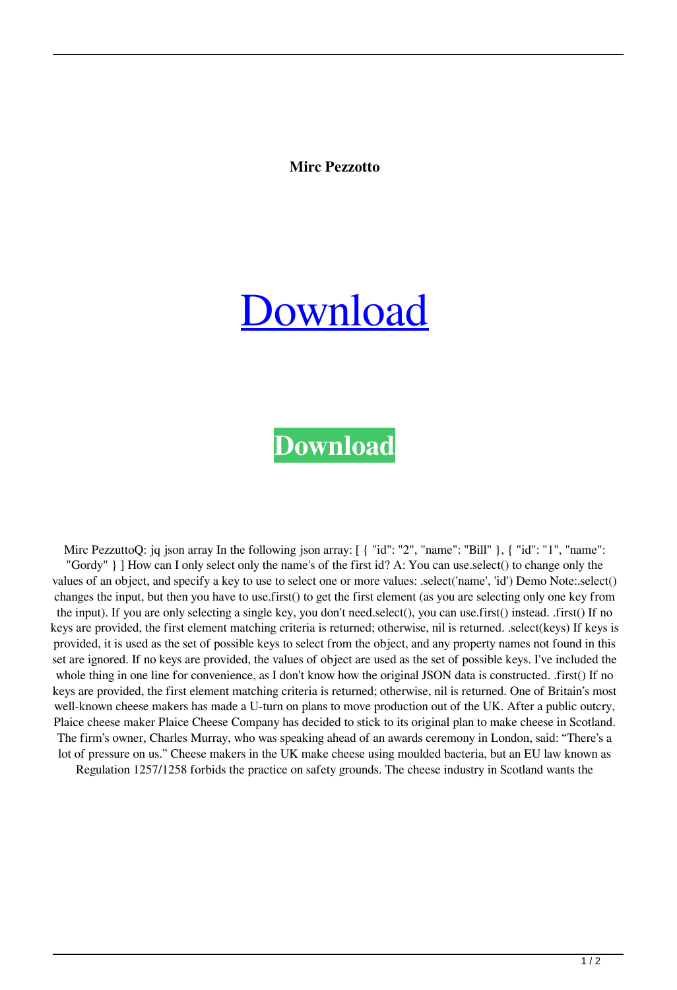**Mirc Pezzotto**

## [Download](https://urlin.us/2m0cy9)

## **[Download](https://urlin.us/2m0cy9)**

Mirc PezzuttoQ: jq json array In the following json array: [ { "id": "2", "name": "Bill" }, { "id": "1", "name": "Gordy" } ] How can I only select only the name's of the first id? A: You can use.select() to change only the values of an object, and specify a key to use to select one or more values: .select('name', 'id') Demo Note:.select() changes the input, but then you have to use.first() to get the first element (as you are selecting only one key from the input). If you are only selecting a single key, you don't need.select(), you can use.first() instead. .first() If no keys are provided, the first element matching criteria is returned; otherwise, nil is returned. .select(keys) If keys is provided, it is used as the set of possible keys to select from the object, and any property names not found in this set are ignored. If no keys are provided, the values of object are used as the set of possible keys. I've included the whole thing in one line for convenience, as I don't know how the original JSON data is constructed. .first() If no keys are provided, the first element matching criteria is returned; otherwise, nil is returned. One of Britain's most well-known cheese makers has made a U-turn on plans to move production out of the UK. After a public outcry, Plaice cheese maker Plaice Cheese Company has decided to stick to its original plan to make cheese in Scotland. The firm's owner, Charles Murray, who was speaking ahead of an awards ceremony in London, said: "There's a lot of pressure on us." Cheese makers in the UK make cheese using moulded bacteria, but an EU law known as

Regulation 1257/1258 forbids the practice on safety grounds. The cheese industry in Scotland wants the